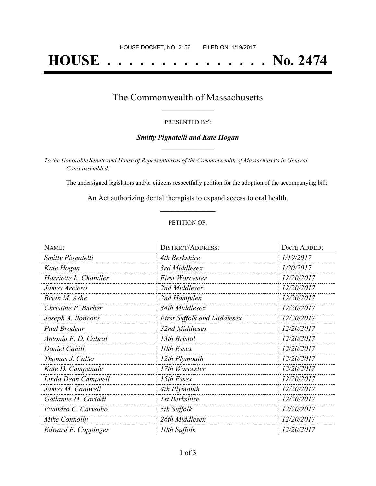# **HOUSE . . . . . . . . . . . . . . . No. 2474**

### The Commonwealth of Massachusetts **\_\_\_\_\_\_\_\_\_\_\_\_\_\_\_\_\_**

#### PRESENTED BY:

#### *Smitty Pignatelli and Kate Hogan* **\_\_\_\_\_\_\_\_\_\_\_\_\_\_\_\_\_**

*To the Honorable Senate and House of Representatives of the Commonwealth of Massachusetts in General Court assembled:*

The undersigned legislators and/or citizens respectfully petition for the adoption of the accompanying bill:

An Act authorizing dental therapists to expand access to oral health. **\_\_\_\_\_\_\_\_\_\_\_\_\_\_\_**

#### PETITION OF:

| NAME:                    | <b>DISTRICT/ADDRESS:</b>           | <b>DATE ADDED:</b> |
|--------------------------|------------------------------------|--------------------|
| <b>Smitty Pignatelli</b> | 4th Berkshire                      | 1/19/2017          |
| Kate Hogan               | 3rd Middlesex                      | 1/20/2017          |
| Harriette L. Chandler    | <b>First Worcester</b>             | 12/20/2017         |
| James Arciero            | 2nd Middlesex                      | 12/20/2017         |
| Brian M. Ashe            | 2nd Hampden                        | 12/20/2017         |
| Christine P. Barber      | 34th Middlesex                     | 12/20/2017         |
| Joseph A. Boncore        | <b>First Suffolk and Middlesex</b> | 12/20/2017         |
| Paul Brodeur             | 32nd Middlesex                     | 12/20/2017         |
| Antonio F. D. Cabral     | 13th Bristol                       | 12/20/2017         |
| Daniel Cahill            | 10th Essex                         | 12/20/2017         |
| Thomas J. Calter         | 12th Plymouth                      | 12/20/2017         |
| Kate D. Campanale        | 17th Worcester                     | 12/20/2017         |
| Linda Dean Campbell      | 15th Essex                         | 12/20/2017         |
| James M. Cantwell        | 4th Plymouth                       | 12/20/2017         |
| Gailanne M. Cariddi      | 1st Berkshire                      | 12/20/2017         |
| Evandro C. Carvalho      | 5th Suffolk                        | 12/20/2017         |
| Mike Connolly            | 26th Middlesex                     | 12/20/2017         |
| Edward F. Coppinger      | 10th Suffolk                       | 12/20/2017         |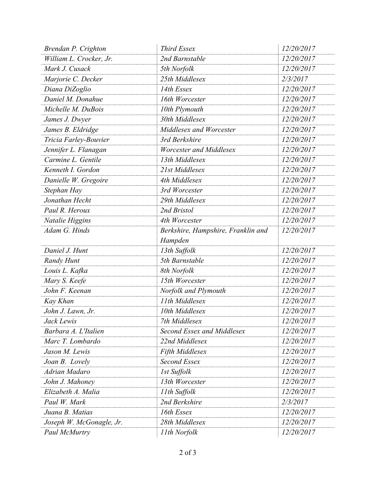| Brendan P. Crighton      | <b>Third Essex</b>                            | 12/20/2017 |
|--------------------------|-----------------------------------------------|------------|
| William L. Crocker, Jr.  | 2nd Barnstable                                | 12/20/2017 |
| Mark J. Cusack           | 5th Norfolk                                   | 12/20/2017 |
| Marjorie C. Decker       | 25th Middlesex                                | 2/3/2017   |
| Diana DiZoglio           | 14th Essex                                    | 12/20/2017 |
| Daniel M. Donahue        | 16th Worcester                                | 12/20/2017 |
| Michelle M. DuBois       | 10th Plymouth                                 | 12/20/2017 |
| James J. Dwyer           | 30th Middlesex                                | 12/20/2017 |
| James B. Eldridge        | Middlesex and Worcester                       | 12/20/2017 |
| Tricia Farley-Bouvier    | 3rd Berkshire                                 | 12/20/2017 |
| Jennifer L. Flanagan     | <b>Worcester and Middlesex</b>                | 12/20/2017 |
| Carmine L. Gentile       | 13th Middlesex                                | 12/20/2017 |
| Kenneth I. Gordon        | 21st Middlesex                                | 12/20/2017 |
| Danielle W. Gregoire     | 4th Middlesex                                 | 12/20/2017 |
| Stephan Hay              | 3rd Worcester                                 | 12/20/2017 |
| Jonathan Hecht           | 29th Middlesex                                | 12/20/2017 |
| Paul R. Heroux           | 2nd Bristol                                   | 12/20/2017 |
| Natalie Higgins          | 4th Worcester                                 | 12/20/2017 |
| Adam G. Hinds            | Berkshire, Hampshire, Franklin and<br>Hampden | 12/20/2017 |
| Daniel J. Hunt           | 13th Suffolk                                  | 12/20/2017 |
| <b>Randy Hunt</b>        | 5th Barnstable                                | 12/20/2017 |
| Louis L. Kafka           | 8th Norfolk                                   | 12/20/2017 |
| Mary S. Keefe            | 15th Worcester                                | 12/20/2017 |
| John F. Keenan           | Norfolk and Plymouth                          | 12/20/2017 |
| Kay Khan                 | 11th Middlesex                                | 12/20/2017 |
| John J. Lawn, Jr.        | 10th Middlesex                                | 12/20/2017 |
| Jack Lewis               | 7th Middlesex                                 | 12/20/2017 |
| Barbara A. L'Italien     | Second Essex and Middlesex                    | 12/20/2017 |
| Marc T. Lombardo         | 22nd Middlesex                                | 12/20/2017 |
| Jason M. Lewis           | Fifth Middlesex                               | 12/20/2017 |
| Joan B. Lovely           | Second Essex                                  | 12/20/2017 |
| Adrian Madaro            | 1st Suffolk                                   | 12/20/2017 |
| John J. Mahoney          | 13th Worcester                                | 12/20/2017 |
| Elizabeth A. Malia       | 11th Suffolk                                  | 12/20/2017 |
| Paul W. Mark             | 2nd Berkshire                                 | 2/3/2017   |
| Juana B. Matias          | 16th Essex                                    | 12/20/2017 |
| Joseph W. McGonagle, Jr. | 28th Middlesex                                | 12/20/2017 |
| Paul McMurtry            | 11th Norfolk                                  | 12/20/2017 |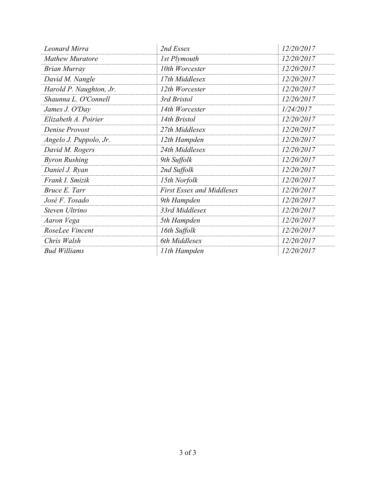| Leonard Mirra           | 2nd Essex                        | 12/20/2017 |
|-------------------------|----------------------------------|------------|
| <b>Mathew Muratore</b>  | 1st Plymouth                     | 12/20/2017 |
| <b>Brian Murray</b>     | 10th Worcester                   | 12/20/2017 |
| David M. Nangle         | 17th Middlesex                   | 12/20/2017 |
| Harold P. Naughton, Jr. | 12th Worcester                   | 12/20/2017 |
| Shaunna L. O'Connell    | 3rd Bristol                      | 12/20/2017 |
| James J. O'Day          | 14th Worcester                   | 1/24/2017  |
| Elizabeth A. Poirier    | 14th Bristol                     | 12/20/2017 |
| Denise Provost          | 27th Middlesex                   | 12/20/2017 |
| Angelo J. Puppolo, Jr.  | 12th Hampden                     | 12/20/2017 |
| David M. Rogers         | 24th Middlesex                   | 12/20/2017 |
| <b>Byron Rushing</b>    | 9th Suffolk                      | 12/20/2017 |
| Daniel J. Ryan          | 2nd Suffolk                      | 12/20/2017 |
| Frank I. Smizik         | 15th Norfolk                     | 12/20/2017 |
| Bruce E. Tarr           | <b>First Essex and Middlesex</b> | 12/20/2017 |
| José F. Tosado          | 9th Hampden                      | 12/20/2017 |
| Steven Ultrino          | 33rd Middlesex                   | 12/20/2017 |
| Aaron Vega              | 5th Hampden                      | 12/20/2017 |
| RoseLee Vincent         | 16th Suffolk                     | 12/20/2017 |
| Chris Walsh             | 6th Middlesex                    | 12/20/2017 |
| <b>Bud Williams</b>     | 11th Hampden                     | 12/20/2017 |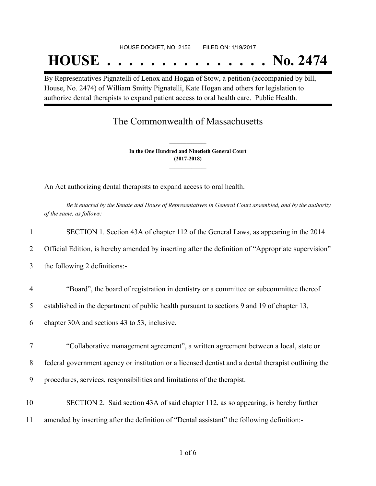#### HOUSE DOCKET, NO. 2156 FILED ON: 1/19/2017

## **HOUSE . . . . . . . . . . . . . . . No. 2474**

By Representatives Pignatelli of Lenox and Hogan of Stow, a petition (accompanied by bill, House, No. 2474) of William Smitty Pignatelli, Kate Hogan and others for legislation to authorize dental therapists to expand patient access to oral health care. Public Health.

## The Commonwealth of Massachusetts

**In the One Hundred and Ninetieth General Court (2017-2018) \_\_\_\_\_\_\_\_\_\_\_\_\_\_\_**

**\_\_\_\_\_\_\_\_\_\_\_\_\_\_\_**

An Act authorizing dental therapists to expand access to oral health.

Be it enacted by the Senate and House of Representatives in General Court assembled, and by the authority *of the same, as follows:*

| 1              | SECTION 1. Section 43A of chapter 112 of the General Laws, as appearing in the 2014                 |
|----------------|-----------------------------------------------------------------------------------------------------|
| 2              | Official Edition, is hereby amended by inserting after the definition of "Appropriate supervision"  |
| 3              | the following 2 definitions:-                                                                       |
| $\overline{4}$ | "Board", the board of registration in dentistry or a committee or subcommittee thereof              |
| 5              | established in the department of public health pursuant to sections 9 and 19 of chapter 13,         |
| 6              | chapter 30A and sections 43 to 53, inclusive.                                                       |
| 7              | "Collaborative management agreement", a written agreement between a local, state or                 |
| 8              | federal government agency or institution or a licensed dentist and a dental therapist outlining the |
| 9              | procedures, services, responsibilities and limitations of the therapist.                            |
| 10             | SECTION 2. Said section 43A of said chapter 112, as so appearing, is hereby further                 |
| 11             | amended by inserting after the definition of "Dental assistant" the following definition:-          |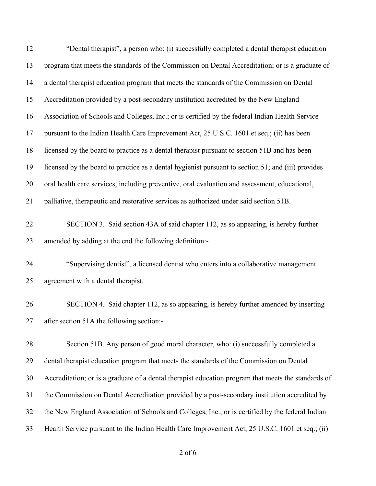| 12 | "Dental therapist", a person who: (i) successfully completed a dental therapist education           |
|----|-----------------------------------------------------------------------------------------------------|
| 13 | program that meets the standards of the Commission on Dental Accreditation; or is a graduate of     |
| 14 | a dental therapist education program that meets the standards of the Commission on Dental           |
| 15 | Accreditation provided by a post-secondary institution accredited by the New England                |
| 16 | Association of Schools and Colleges, Inc.; or is certified by the federal Indian Health Service     |
| 17 | pursuant to the Indian Health Care Improvement Act, 25 U.S.C. 1601 et seq.; (ii) has been           |
| 18 | licensed by the board to practice as a dental therapist pursuant to section 51B and has been        |
| 19 | licensed by the board to practice as a dental hygienist pursuant to section 51; and (iii) provides  |
| 20 | oral health care services, including preventive, oral evaluation and assessment, educational,       |
| 21 | palliative, therapeutic and restorative services as authorized under said section 51B.              |
| 22 | SECTION 3. Said section 43A of said chapter 112, as so appearing, is hereby further                 |
| 23 | amended by adding at the end the following definition:-                                             |
| 24 | "Supervising dentist", a licensed dentist who enters into a collaborative management                |
| 25 | agreement with a dental therapist.                                                                  |
| 26 | SECTION 4. Said chapter 112, as so appearing, is hereby further amended by inserting                |
| 27 | after section 51A the following section:-                                                           |
| 28 | Section 51B. Any person of good moral character, who: (i) successfully completed a                  |
| 29 | dental therapist education program that meets the standards of the Commission on Dental             |
| 30 | Accreditation; or is a graduate of a dental therapist education program that meets the standards of |
| 31 | the Commission on Dental Accreditation provided by a post-secondary institution accredited by       |
| 32 | the New England Association of Schools and Colleges, Inc.; or is certified by the federal Indian    |
| 33 | Health Service pursuant to the Indian Health Care Improvement Act, 25 U.S.C. 1601 et seq.; (ii)     |

of 6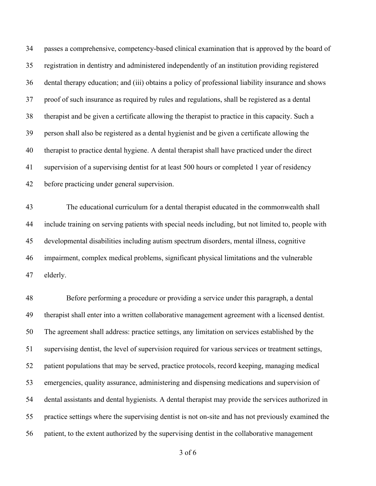passes a comprehensive, competency-based clinical examination that is approved by the board of registration in dentistry and administered independently of an institution providing registered dental therapy education; and (iii) obtains a policy of professional liability insurance and shows proof of such insurance as required by rules and regulations, shall be registered as a dental therapist and be given a certificate allowing the therapist to practice in this capacity. Such a person shall also be registered as a dental hygienist and be given a certificate allowing the therapist to practice dental hygiene. A dental therapist shall have practiced under the direct supervision of a supervising dentist for at least 500 hours or completed 1 year of residency before practicing under general supervision.

 The educational curriculum for a dental therapist educated in the commonwealth shall include training on serving patients with special needs including, but not limited to, people with developmental disabilities including autism spectrum disorders, mental illness, cognitive impairment, complex medical problems, significant physical limitations and the vulnerable elderly.

 Before performing a procedure or providing a service under this paragraph, a dental therapist shall enter into a written collaborative management agreement with a licensed dentist. The agreement shall address: practice settings, any limitation on services established by the supervising dentist, the level of supervision required for various services or treatment settings, patient populations that may be served, practice protocols, record keeping, managing medical emergencies, quality assurance, administering and dispensing medications and supervision of dental assistants and dental hygienists. A dental therapist may provide the services authorized in practice settings where the supervising dentist is not on-site and has not previously examined the patient, to the extent authorized by the supervising dentist in the collaborative management

of 6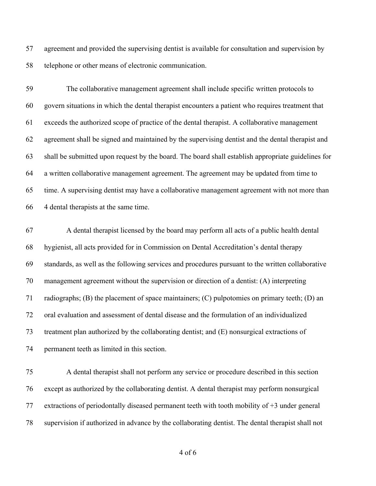agreement and provided the supervising dentist is available for consultation and supervision by telephone or other means of electronic communication.

 The collaborative management agreement shall include specific written protocols to govern situations in which the dental therapist encounters a patient who requires treatment that exceeds the authorized scope of practice of the dental therapist. A collaborative management agreement shall be signed and maintained by the supervising dentist and the dental therapist and shall be submitted upon request by the board. The board shall establish appropriate guidelines for a written collaborative management agreement. The agreement may be updated from time to time. A supervising dentist may have a collaborative management agreement with not more than 4 dental therapists at the same time.

 A dental therapist licensed by the board may perform all acts of a public health dental hygienist, all acts provided for in Commission on Dental Accreditation's dental therapy standards, as well as the following services and procedures pursuant to the written collaborative management agreement without the supervision or direction of a dentist: (A) interpreting radiographs; (B) the placement of space maintainers; (C) pulpotomies on primary teeth; (D) an oral evaluation and assessment of dental disease and the formulation of an individualized treatment plan authorized by the collaborating dentist; and (E) nonsurgical extractions of permanent teeth as limited in this section.

 A dental therapist shall not perform any service or procedure described in this section except as authorized by the collaborating dentist. A dental therapist may perform nonsurgical extractions of periodontally diseased permanent teeth with tooth mobility of +3 under general supervision if authorized in advance by the collaborating dentist. The dental therapist shall not

of 6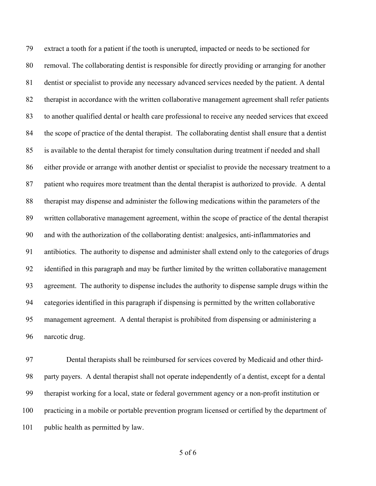extract a tooth for a patient if the tooth is unerupted, impacted or needs to be sectioned for removal. The collaborating dentist is responsible for directly providing or arranging for another dentist or specialist to provide any necessary advanced services needed by the patient. A dental therapist in accordance with the written collaborative management agreement shall refer patients to another qualified dental or health care professional to receive any needed services that exceed the scope of practice of the dental therapist. The collaborating dentist shall ensure that a dentist is available to the dental therapist for timely consultation during treatment if needed and shall either provide or arrange with another dentist or specialist to provide the necessary treatment to a patient who requires more treatment than the dental therapist is authorized to provide. A dental therapist may dispense and administer the following medications within the parameters of the written collaborative management agreement, within the scope of practice of the dental therapist and with the authorization of the collaborating dentist: analgesics, anti-inflammatories and antibiotics. The authority to dispense and administer shall extend only to the categories of drugs identified in this paragraph and may be further limited by the written collaborative management agreement. The authority to dispense includes the authority to dispense sample drugs within the categories identified in this paragraph if dispensing is permitted by the written collaborative management agreement. A dental therapist is prohibited from dispensing or administering a narcotic drug.

 Dental therapists shall be reimbursed for services covered by Medicaid and other third- party payers. A dental therapist shall not operate independently of a dentist, except for a dental therapist working for a local, state or federal government agency or a non-profit institution or practicing in a mobile or portable prevention program licensed or certified by the department of public health as permitted by law.